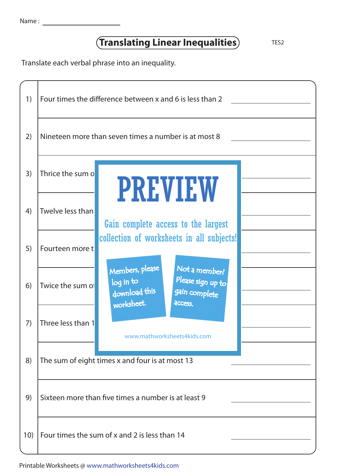|  | Name |  |
|--|------|--|
|  |      |  |

## **(Translating Linear Inequalities)** TES2

Translate each verbal phrase into an inequality.



Printable Worksheets @ www.mathworksheets4kids.com